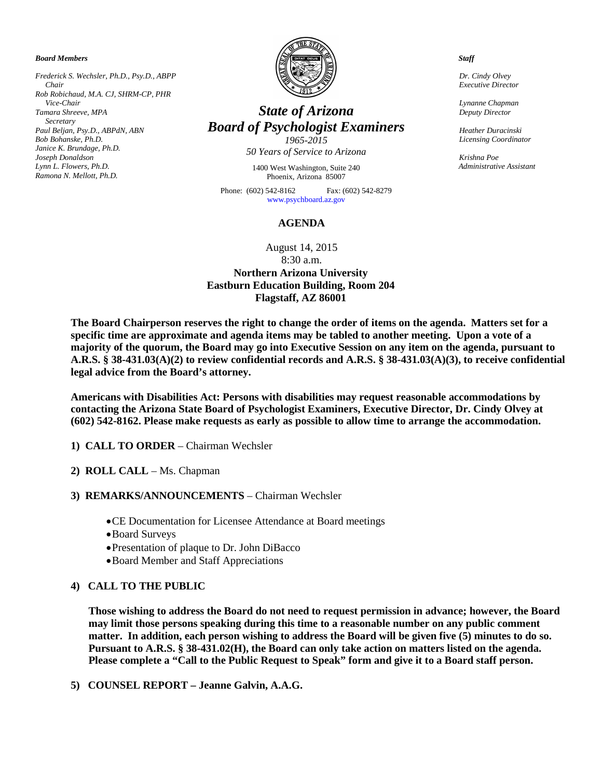*Board Members*

*Frederick S. Wechsler, Ph.D., Psy.D., ABPP Chair Rob Robichaud, M.A. CJ, SHRM-CP, PHR Vice-Chair Tamara Shreeve, MPA Secretary Paul Beljan, Psy.D., ABPdN, ABN Bob Bohanske, Ph.D. Janice K. Brundage, Ph.D. Joseph Donaldson Lynn L. Flowers, Ph.D. Ramona N. Mellott, Ph.D.*



# *State of Arizona Board of Psychologist Examiners*

*1965-2015 50 Years of Service to Arizona*

1400 West Washington, Suite 240 Phoenix, Arizona 85007

Phone: (602) 542-8162 Fax: (602) 542-8279 [www.psychboard.az.gov](http://www.psychboard.az.gov/) 

#### **AGENDA**

### August 14, 2015 8:30 a.m. **Northern Arizona University Eastburn Education Building, Room 204 Flagstaff, AZ 86001**

**The Board Chairperson reserves the right to change the order of items on the agenda. Matters set for a specific time are approximate and agenda items may be tabled to another meeting. Upon a vote of a majority of the quorum, the Board may go into Executive Session on any item on the agenda, pursuant to A.R.S. § 38-431.03(A)(2) to review confidential records and A.R.S. § 38-431.03(A)(3), to receive confidential legal advice from the Board's attorney.**

**Americans with Disabilities Act: Persons with disabilities may request reasonable accommodations by contacting the Arizona State Board of Psychologist Examiners, Executive Director, Dr. Cindy Olvey at (602) 542-8162. Please make requests as early as possible to allow time to arrange the accommodation.**

- **1) CALL TO ORDER** Chairman Wechsler
- **2) ROLL CALL** Ms. Chapman
- **3) REMARKS/ANNOUNCEMENTS** Chairman Wechsler
	- •CE Documentation for Licensee Attendance at Board meetings
	- •Board Surveys
	- •Presentation of plaque to Dr. John DiBacco
	- •Board Member and Staff Appreciations

#### **4) CALL TO THE PUBLIC**

**Those wishing to address the Board do not need to request permission in advance; however, the Board may limit those persons speaking during this time to a reasonable number on any public comment matter. In addition, each person wishing to address the Board will be given five (5) minutes to do so. Pursuant to A.R.S. § 38-431.02(H), the Board can only take action on matters listed on the agenda. Please complete a "Call to the Public Request to Speak" form and give it to a Board staff person.**

**5) COUNSEL REPORT – Jeanne Galvin, A.A.G.**

 *Staff*

 *Dr. Cindy Olvey Executive Director*

 *Lynanne Chapman Deputy Director*

 *Heather Duracinski Licensing Coordinator*

 *Krishna Poe Administrative Assistant*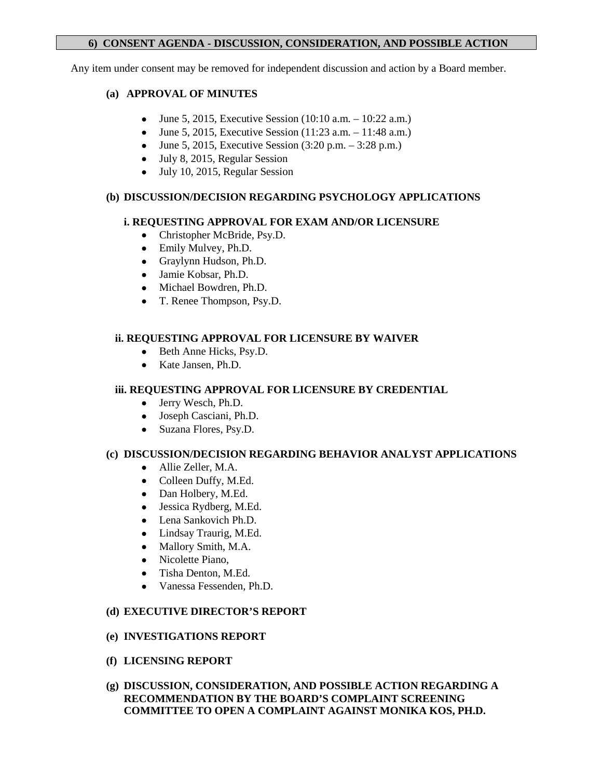## **6) CONSENT AGENDA - DISCUSSION, CONSIDERATION, AND POSSIBLE ACTION**

Any item under consent may be removed for independent discussion and action by a Board member.

# **(a) APPROVAL OF MINUTES**

- June 5, 2015, Executive Session  $(10:10 \text{ a.m.} 10:22 \text{ a.m.})$
- June 5, 2015, Executive Session  $(11:23 \text{ a.m.} 11:48 \text{ a.m.})$
- June 5, 2015, Executive Session  $(3:20 \text{ p.m.} 3:28 \text{ p.m.})$
- July 8, 2015, Regular Session
- July 10, 2015, Regular Session

# **(b) DISCUSSION/DECISION REGARDING PSYCHOLOGY APPLICATIONS**

# **i. REQUESTING APPROVAL FOR EXAM AND/OR LICENSURE**

- Christopher McBride, Psy.D.
- Emily Mulvey, Ph.D.
- Graylynn Hudson, Ph.D.
- Jamie Kobsar, Ph.D.
- Michael Bowdren, Ph.D.
- T. Renee Thompson, Psy.D.

# **ii. REQUESTING APPROVAL FOR LICENSURE BY WAIVER**

- Beth Anne Hicks, Psy.D.
- Kate Jansen, Ph.D.

# **iii. REQUESTING APPROVAL FOR LICENSURE BY CREDENTIAL**

- Jerry Wesch, Ph.D.
- Joseph Casciani, Ph.D.
- Suzana Flores, Psy.D.

# **(c) DISCUSSION/DECISION REGARDING BEHAVIOR ANALYST APPLICATIONS**

- Allie Zeller, M.A.
- Colleen Duffy, M.Ed.
- Dan Holbery, M.Ed.
- Jessica Rydberg, M.Ed.
- Lena Sankovich Ph.D.
- Lindsay Traurig, M.Ed.
- Mallory Smith, M.A.
- Nicolette Piano,
- Tisha Denton, M.Ed.
- Vanessa Fessenden, Ph.D.

# **(d) EXECUTIVE DIRECTOR'S REPORT**

# **(e) INVESTIGATIONS REPORT**

- **(f) LICENSING REPORT**
- **(g) DISCUSSION, CONSIDERATION, AND POSSIBLE ACTION REGARDING A RECOMMENDATION BY THE BOARD'S COMPLAINT SCREENING COMMITTEE TO OPEN A COMPLAINT AGAINST MONIKA KOS, PH.D.**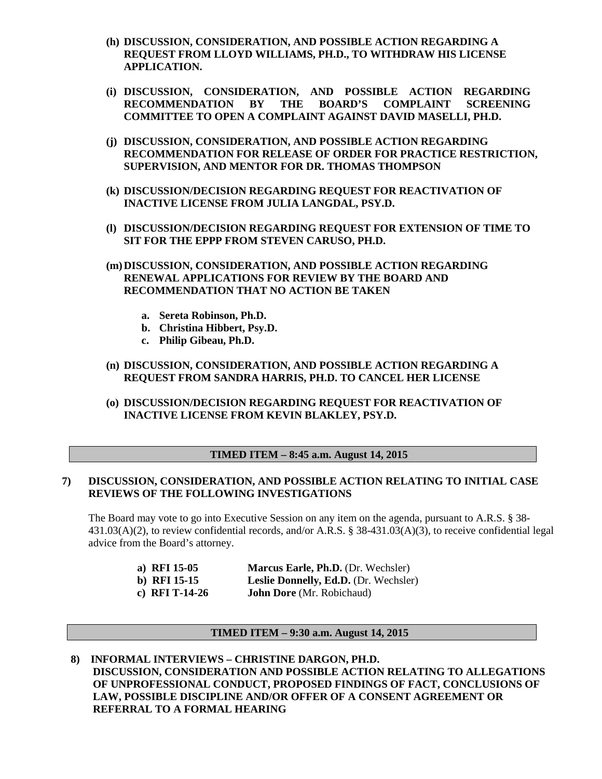- **(h) DISCUSSION, CONSIDERATION, AND POSSIBLE ACTION REGARDING A REQUEST FROM LLOYD WILLIAMS, PH.D., TO WITHDRAW HIS LICENSE APPLICATION.**
- **(i) DISCUSSION, CONSIDERATION, AND POSSIBLE ACTION REGARDING RECOMMENDATION BY THE BOARD'S COMPLAINT SCREENING COMMITTEE TO OPEN A COMPLAINT AGAINST DAVID MASELLI, PH.D.**
- **(j) DISCUSSION, CONSIDERATION, AND POSSIBLE ACTION REGARDING RECOMMENDATION FOR RELEASE OF ORDER FOR PRACTICE RESTRICTION, SUPERVISION, AND MENTOR FOR DR. THOMAS THOMPSON**
- **(k) DISCUSSION/DECISION REGARDING REQUEST FOR REACTIVATION OF INACTIVE LICENSE FROM JULIA LANGDAL, PSY.D.**
- **(l) DISCUSSION/DECISION REGARDING REQUEST FOR EXTENSION OF TIME TO SIT FOR THE EPPP FROM STEVEN CARUSO, PH.D.**
- **(m)DISCUSSION, CONSIDERATION, AND POSSIBLE ACTION REGARDING RENEWAL APPLICATIONS FOR REVIEW BY THE BOARD AND RECOMMENDATION THAT NO ACTION BE TAKEN**
	- **a. Sereta Robinson, Ph.D.**
	- **b. Christina Hibbert, Psy.D.**
	- **c. Philip Gibeau, Ph.D.**
- **(n) DISCUSSION, CONSIDERATION, AND POSSIBLE ACTION REGARDING A REQUEST FROM SANDRA HARRIS, PH.D. TO CANCEL HER LICENSE**
- **(o) DISCUSSION/DECISION REGARDING REQUEST FOR REACTIVATION OF INACTIVE LICENSE FROM KEVIN BLAKLEY, PSY.D.**

#### **TIMED ITEM – 8:45 a.m. August 14, 2015**

#### **7) DISCUSSION, CONSIDERATION, AND POSSIBLE ACTION RELATING TO INITIAL CASE REVIEWS OF THE FOLLOWING INVESTIGATIONS**

The Board may vote to go into Executive Session on any item on the agenda, pursuant to A.R.S. § 38-431.03(A)(2), to review confidential records, and/or A.R.S. § 38-431.03(A)(3), to receive confidential legal advice from the Board's attorney.

| a) RFI 15-05   | Marcus Earle, Ph.D. (Dr. Wechsler)    |
|----------------|---------------------------------------|
| b) RFI $15-15$ | Leslie Donnelly, Ed.D. (Dr. Wechsler) |
| c) RFI T-14-26 | <b>John Dore</b> (Mr. Robichaud)      |

#### **TIMED ITEM – 9:30 a.m. August 14, 2015**

**8) INFORMAL INTERVIEWS – CHRISTINE DARGON, PH.D. DISCUSSION, CONSIDERATION AND POSSIBLE ACTION RELATING TO ALLEGATIONS OF UNPROFESSIONAL CONDUCT, PROPOSED FINDINGS OF FACT, CONCLUSIONS OF LAW, POSSIBLE DISCIPLINE AND/OR OFFER OF A CONSENT AGREEMENT OR REFERRAL TO A FORMAL HEARING**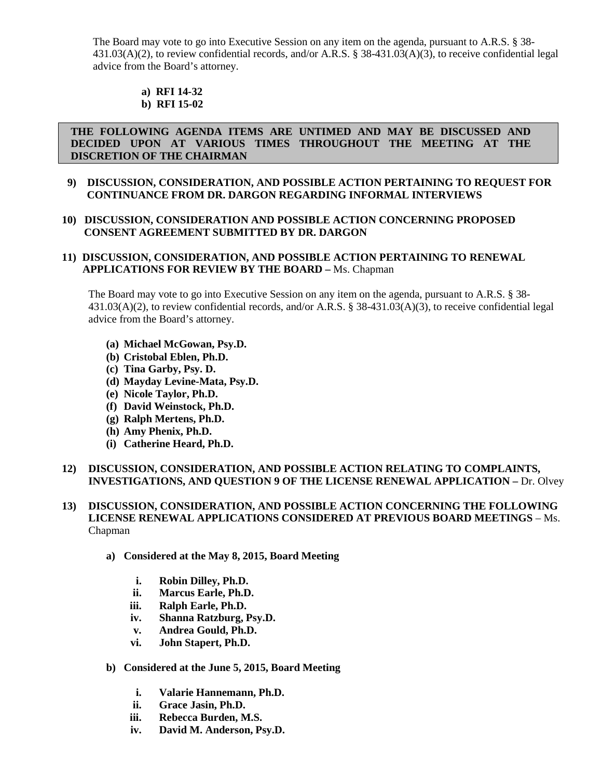The Board may vote to go into Executive Session on any item on the agenda, pursuant to A.R.S. § 38-431.03(A)(2), to review confidential records, and/or A.R.S. § 38-431.03(A)(3), to receive confidential legal advice from the Board's attorney.

#### **a) RFI 14-32 b) RFI 15-02**

### **THE FOLLOWING AGENDA ITEMS ARE UNTIMED AND MAY BE DISCUSSED AND DECIDED UPON AT VARIOUS TIMES THROUGHOUT THE MEETING AT THE DISCRETION OF THE CHAIRMAN**

### **9) DISCUSSION, CONSIDERATION, AND POSSIBLE ACTION PERTAINING TO REQUEST FOR CONTINUANCE FROM DR. DARGON REGARDING INFORMAL INTERVIEWS**

### **10) DISCUSSION, CONSIDERATION AND POSSIBLE ACTION CONCERNING PROPOSED CONSENT AGREEMENT SUBMITTED BY DR. DARGON**

### **11) DISCUSSION, CONSIDERATION, AND POSSIBLE ACTION PERTAINING TO RENEWAL APPLICATIONS FOR REVIEW BY THE BOARD –** Ms. Chapman

The Board may vote to go into Executive Session on any item on the agenda, pursuant to A.R.S. § 38- 431.03(A)(2), to review confidential records, and/or A.R.S. § 38-431.03(A)(3), to receive confidential legal advice from the Board's attorney.

- **(a) Michael McGowan, Psy.D.**
- **(b) Cristobal Eblen, Ph.D.**
- **(c) Tina Garby, Psy. D.**
- **(d) Mayday Levine-Mata, Psy.D.**
- **(e) Nicole Taylor, Ph.D.**
- **(f) David Weinstock, Ph.D.**
- **(g) Ralph Mertens, Ph.D.**
- **(h) Amy Phenix, Ph.D.**
- **(i) Catherine Heard, Ph.D.**

### **12) DISCUSSION, CONSIDERATION, AND POSSIBLE ACTION RELATING TO COMPLAINTS, INVESTIGATIONS, AND QUESTION 9 OF THE LICENSE RENEWAL APPLICATION –** Dr. Olvey

### **13) DISCUSSION, CONSIDERATION, AND POSSIBLE ACTION CONCERNING THE FOLLOWING LICENSE RENEWAL APPLICATIONS CONSIDERED AT PREVIOUS BOARD MEETINGS** – Ms. Chapman

- **a) Considered at the May 8, 2015, Board Meeting**
	- **i. Robin Dilley, Ph.D.**
	- **ii. Marcus Earle, Ph.D.**
	- **iii. Ralph Earle, Ph.D.**
	- **iv. Shanna Ratzburg, Psy.D.**
	- **v. Andrea Gould, Ph.D.**
	- **vi. John Stapert, Ph.D.**
- **b) Considered at the June 5, 2015, Board Meeting**
	- **i. Valarie Hannemann, Ph.D.**
	- **ii. Grace Jasin, Ph.D.**
	- **iii. Rebecca Burden, M.S.**
	- **iv. David M. Anderson, Psy.D.**